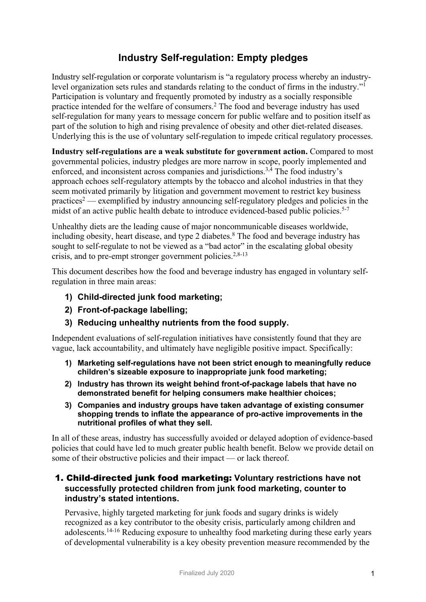# **Industry Self-regulation: Empty pledges**

Industry self-regulation or corporate voluntarism is "a regulatory process whereby an industrylevel organization sets rules and standards relating to the conduct of firms in the industry."1 Participation is voluntary and frequently promoted by industry as a socially responsible practice intended for the welfare of consumers. <sup>2</sup> The food and beverage industry has used self-regulation for many years to message concern for public welfare and to position itself as part of the solution to high and rising prevalence of obesity and other diet-related diseases. Underlying this is the use of voluntary self-regulation to impede critical regulatory processes.

**Industry self-regulations are a weak substitute for government action.** Compared to most governmental policies, industry pledges are more narrow in scope, poorly implemented and enforced, and inconsistent across companies and jurisdictions.3,4 The food industry's approach echoes self-regulatory attempts by the tobacco and alcohol industries in that they seem motivated primarily by litigation and government movement to restrict key business practices<sup>2</sup> — exemplified by industry announcing self-regulatory pledges and policies in the midst of an active public health debate to introduce evidenced-based public policies.<sup>5-7</sup>

Unhealthy diets are the leading cause of major noncommunicable diseases worldwide, including obesity, heart disease, and type 2 diabetes. <sup>8</sup> The food and beverage industry has sought to self-regulate to not be viewed as a "bad actor" in the escalating global obesity crisis, and to pre-empt stronger government policies.<sup>2,8-13</sup>

This document describes how the food and beverage industry has engaged in voluntary selfregulation in three main areas:

- **1) Child-directed junk food marketing;**
- **2) Front-of-package labelling;**
- **3) Reducing unhealthy nutrients from the food supply.**

Independent evaluations of self-regulation initiatives have consistently found that they are vague, lack accountability, and ultimately have negligible positive impact. Specifically:

- **1) Marketing self-regulations have not been strict enough to meaningfully reduce children's sizeable exposure to inappropriate junk food marketing;**
- **2) Industry has thrown its weight behind front-of-package labels that have no demonstrated benefit for helping consumers make healthier choices;**
- **3) Companies and industry groups have taken advantage of existing consumer shopping trends to inflate the appearance of pro-active improvements in the nutritional profiles of what they sell.**

In all of these areas, industry has successfully avoided or delayed adoption of evidence-based policies that could have led to much greater public health benefit. Below we provide detail on some of their obstructive policies and their impact — or lack thereof.

# 1. Child-directed junk food marketing: **Voluntary restrictions have not successfully protected children from junk food marketing, counter to industry's stated intentions.**

Pervasive, highly targeted marketing for junk foods and sugary drinks is widely recognized as a key contributor to the obesity crisis, particularly among children and adolescents. 14-16 Reducing exposure to unhealthy food marketing during these early years of developmental vulnerability is a key obesity prevention measure recommended by the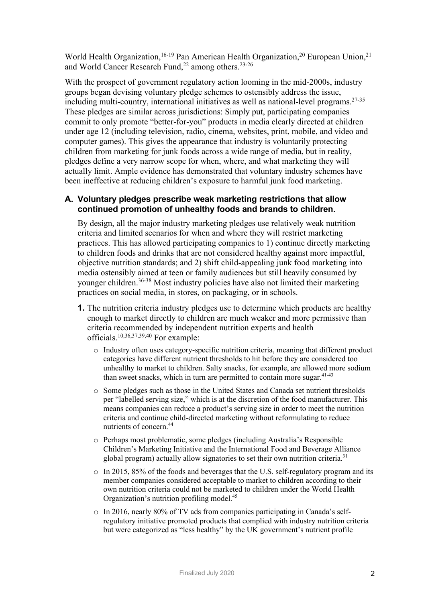World Health Organization,<sup>16-19</sup> Pan American Health Organization,<sup>20</sup> European Union,<sup>21</sup> and World Cancer Research Fund,<sup>22</sup> among others.<sup>23-26</sup>

With the prospect of government regulatory action looming in the mid-2000s, industry groups began devising voluntary pledge schemes to ostensibly address the issue, including multi-country, international initiatives as well as national-level programs. 27-35 These pledges are similar across jurisdictions: Simply put, participating companies commit to only promote "better-for-you" products in media clearly directed at children under age 12 (including television, radio, cinema, websites, print, mobile, and video and computer games). This gives the appearance that industry is voluntarily protecting children from marketing for junk foods across a wide range of media, but in reality, pledges define a very narrow scope for when, where, and what marketing they will actually limit. Ample evidence has demonstrated that voluntary industry schemes have been ineffective at reducing children's exposure to harmful junk food marketing.

## **A. Voluntary pledges prescribe weak marketing restrictions that allow continued promotion of unhealthy foods and brands to children.**

By design, all the major industry marketing pledges use relatively weak nutrition criteria and limited scenarios for when and where they will restrict marketing practices. This has allowed participating companies to 1) continue directly marketing to children foods and drinks that are not considered healthy against more impactful, objective nutrition standards; and 2) shift child-appealing junk food marketing into media ostensibly aimed at teen or family audiences but still heavily consumed by younger children.36-38 Most industry policies have also not limited their marketing practices on social media, in stores, on packaging, or in schools.

- **1.** The nutrition criteria industry pledges use to determine which products are healthy enough to market directly to children are much weaker and more permissive than criteria recommended by independent nutrition experts and health officials.10,36,37,39,40 For example:
	- o Industry often uses category-specific nutrition criteria, meaning that different product categories have different nutrient thresholds to hit before they are considered too unhealthy to market to children. Salty snacks, for example, are allowed more sodium than sweet snacks, which in turn are permitted to contain more sugar.<sup>41-43</sup>
	- o Some pledges such as those in the United States and Canada set nutrient thresholds per "labelled serving size," which is at the discretion of the food manufacturer. This means companies can reduce a product's serving size in order to meet the nutrition criteria and continue child-directed marketing without reformulating to reduce nutrients of concern. 44
	- o Perhaps most problematic, some pledges (including Australia's Responsible Children's Marketing Initiative and the International Food and Beverage Alliance global program) actually allow signatories to set their own nutrition criteria.<sup>31</sup>
	- $\circ$  In 2015, 85% of the foods and beverages that the U.S. self-regulatory program and its member companies considered acceptable to market to children according to their own nutrition criteria could not be marketed to children under the World Health Organization's nutrition profiling model.<sup>45</sup>
	- o In 2016, nearly 80% of TV ads from companies participating in Canada's selfregulatory initiative promoted products that complied with industry nutrition criteria but were categorized as "less healthy" by the UK government's nutrient profile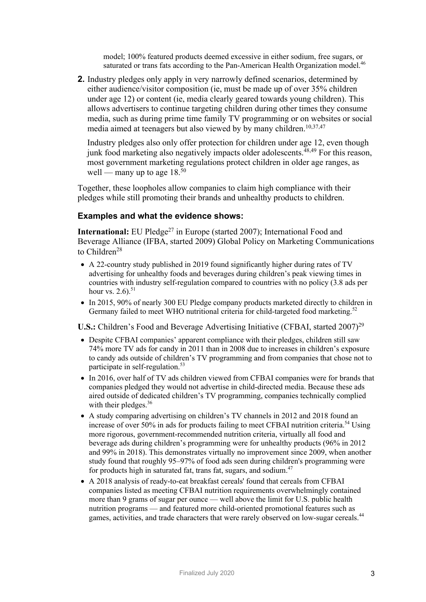model; 100% featured products deemed excessive in either sodium, free sugars, or saturated or trans fats according to the Pan-American Health Organization model.<sup>46</sup>

**2.** Industry pledges only apply in very narrowly defined scenarios, determined by either audience/visitor composition (ie, must be made up of over 35% children under age 12) or content (ie, media clearly geared towards young children). This allows advertisers to continue targeting children during other times they consume media, such as during prime time family TV programming or on websites or social media aimed at teenagers but also viewed by by many children.<sup>10,37,47</sup>

Industry pledges also only offer protection for children under age 12, even though junk food marketing also negatively impacts older adolescents. $48,49$  For this reason, most government marketing regulations protect children in older age ranges, as well — many up to age  $18^{50}$ 

Together, these loopholes allow companies to claim high compliance with their pledges while still promoting their brands and unhealthy products to children.

## **Examples and what the evidence shows:**

**International:** EU Pledge<sup>27</sup> in Europe (started 2007); International Food and Beverage Alliance (IFBA, started 2009) Global Policy on Marketing Communications to Children<sup>28</sup>

- A 22-country study published in 2019 found significantly higher during rates of TV advertising for unhealthy foods and beverages during children's peak viewing times in countries with industry self-regulation compared to countries with no policy (3.8 ads per hour vs.  $2.6$ .  $51$
- In 2015, 90% of nearly 300 EU Pledge company products marketed directly to children in Germany failed to meet WHO nutritional criteria for child-targeted food marketing.<sup>52</sup>

U.S.: Children's Food and Beverage Advertising Initiative (CFBAI, started 2007)<sup>29</sup>

- Despite CFBAI companies' apparent compliance with their pledges, children still saw 74% more TV ads for candy in 2011 than in 2008 due to increases in children's exposure to candy ads outside of children's TV programming and from companies that chose not to participate in self-regulation.<sup>53</sup>
- In 2016, over half of TV ads children viewed from CFBAI companies were for brands that companies pledged they would not advertise in child-directed media. Because these ads aired outside of dedicated children's TV programming, companies technically complied with their pledges.<sup>36</sup>
- A study comparing advertising on children's TV channels in 2012 and 2018 found an increase of over 50% in ads for products failing to meet CFBAI nutrition criteria.<sup>54</sup> Using more rigorous, government-recommended nutrition criteria, virtually all food and beverage ads during children's programming were for unhealthy products (96% in 2012 and 99% in 2018). This demonstrates virtually no improvement since 2009, when another study found that roughly 95–97% of food ads seen during children's programming were for products high in saturated fat, trans fat, sugars, and sodium.<sup>47</sup>
- A 2018 analysis of ready-to-eat breakfast cereals' found that cereals from CFBAI companies listed as meeting CFBAI nutrition requirements overwhelmingly contained more than 9 grams of sugar per ounce — well above the limit for U.S. public health nutrition programs — and featured more child-oriented promotional features such as games, activities, and trade characters that were rarely observed on low-sugar cereals.<sup>44</sup>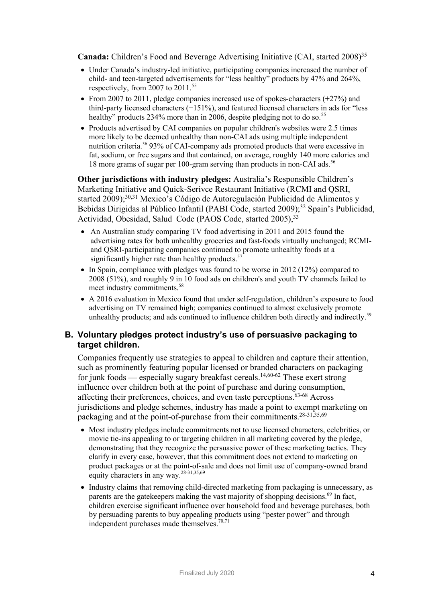**Canada:** Children's Food and Beverage Advertising Initiative (CAI, started 2008) 35

- Under Canada's industry-led initiative, participating companies increased the number of child- and teen-targeted advertisements for "less healthy" products by 47% and 264%, respectively, from 2007 to 2011. 55
- From 2007 to 2011, pledge companies increased use of spokes-characters  $(+27%)$  and third-party licensed characters  $(+151%)$ , and featured licensed characters in ads for "less" healthy" products 234% more than in 2006, despite pledging not to do so.<sup>55</sup>
- Products advertised by CAI companies on popular children's websites were 2.5 times more likely to be deemed unhealthy than non-CAI ads using multiple independent nutrition criteria.56 93% of CAI-company ads promoted products that were excessive in fat, sodium, or free sugars and that contained, on average, roughly 140 more calories and 18 more grams of sugar per 100-gram serving than products in non-CAI ads.<sup>56</sup>

**Other jurisdictions with industry pledges:** Australia's Responsible Children's Marketing Initiative and Quick-Serivce Restaurant Initiative (RCMI and QSRI, started 2009);<sup>30,31</sup> Mexico's Código de Autoregulación Publicidad de Alimentos y Bebidas Dirigidas al Público Infantil (PABI Code, started 2009); <sup>32</sup> Spain's Publicidad, Actividad, Obesidad, Salud Code (PAOS Code, started 2005), 33

- An Australian study comparing TV food advertising in 2011 and 2015 found the advertising rates for both unhealthy groceries and fast-foods virtually unchanged; RCMIand QSRI-participating companies continued to promote unhealthy foods at a significantly higher rate than healthy products. $57$
- In Spain, compliance with pledges was found to be worse in 2012 (12%) compared to 2008 (51%), and roughly 9 in 10 food ads on children's and youth TV channels failed to meet industry commitments.<sup>58</sup>
- A 2016 evaluation in Mexico found that under self-regulation, children's exposure to food advertising on TV remained high; companies continued to almost exclusively promote unhealthy products; and ads continued to influence children both directly and indirectly.<sup>59</sup>

## **B. Voluntary pledges protect industry's use of persuasive packaging to target children.**

Companies frequently use strategies to appeal to children and capture their attention, such as prominently featuring popular licensed or branded characters on packaging for junk foods — especially sugary breakfast cereals.<sup>14,60-62</sup> These exert strong influence over children both at the point of purchase and during consumption, affecting their preferences, choices, and even taste perceptions.63-68 Across jurisdictions and pledge schemes, industry has made a point to exempt marketing on packaging and at the point-of-purchase from their commitments.<sup>28-31,35,69</sup>

- Most industry pledges include commitments not to use licensed characters, celebrities, or movie tie-ins appealing to or targeting children in all marketing covered by the pledge, demonstrating that they recognize the persuasive power of these marketing tactics. They clarify in every case, however, that this commitment does not extend to marketing on product packages or at the point-of-sale and does not limit use of company-owned brand equity characters in any way.28-31,35,69
- Industry claims that removing child-directed marketing from packaging is unnecessary, as parents are the gatekeepers making the vast majority of shopping decisions.<sup>69</sup> In fact, children exercise significant influence over household food and beverage purchases, both by persuading parents to buy appealing products using "pester power" and through independent purchases made themselves.<sup>70,71</sup>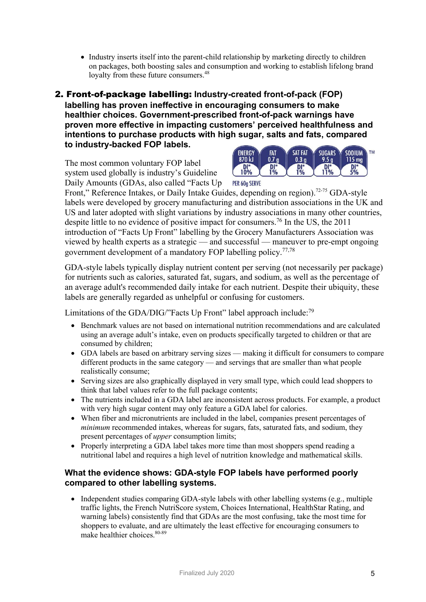• Industry inserts itself into the parent-child relationship by marketing directly to children on packages, both boosting sales and consumption and working to establish lifelong brand loyalty from these future consumers.<sup>48</sup>

## 2. Front-of-package labelling: **Industry-created front-of-pack (FOP) labelling has proven ineffective in encouraging consumers to make healthier choices. Government-prescribed front-of-pack warnings have proven more effective in impacting customers' perceived healthfulness and intentions to purchase products with high sugar, salts and fats, compared to industry-backed FOP labels.**

The most common voluntary FOP label system used globally is industry's Guideline Daily Amounts (GDAs, also called "Facts Up



PER 60g SERVE

Front," Reference Intakes, or Daily Intake Guides, depending on region).<sup>72-75</sup> GDA-style labels were developed by grocery manufacturing and distribution associations in the UK and US and later adopted with slight variations by industry associations in many other countries, despite little to no evidence of positive impact for consumers. <sup>76</sup> In the US, the 2011 introduction of "Facts Up Front" labelling by the Grocery Manufacturers Association was viewed by health experts as a strategic — and successful — maneuver to pre-empt ongoing government development of a mandatory FOP labelling policy.<sup>77,78</sup>

GDA-style labels typically display nutrient content per serving (not necessarily per package) for nutrients such as calories, saturated fat, sugars, and sodium, as well as the percentage of an average adult's recommended daily intake for each nutrient. Despite their ubiquity, these labels are generally regarded as unhelpful or confusing for customers.

Limitations of the GDA/DIG/"Facts Up Front" label approach include:<sup>79</sup>

- Benchmark values are not based on international nutrition recommendations and are calculated using an average adult's intake, even on products specifically targeted to children or that are consumed by children;
- GDA labels are based on arbitrary serving sizes making it difficult for consumers to compare different products in the same category — and servings that are smaller than what people realistically consume;
- Serving sizes are also graphically displayed in very small type, which could lead shoppers to think that label values refer to the full package contents;
- The nutrients included in a GDA label are inconsistent across products. For example, a product with very high sugar content may only feature a GDA label for calories.
- When fiber and micronutrients are included in the label, companies present percentages of *minimum* recommended intakes, whereas for sugars, fats, saturated fats, and sodium, they present percentages of *upper* consumption limits;
- Properly interpreting a GDA label takes more time than most shoppers spend reading a nutritional label and requires a high level of nutrition knowledge and mathematical skills.

## **What the evidence shows: GDA-style FOP labels have performed poorly compared to other labelling systems.**

• Independent studies comparing GDA-style labels with other labelling systems (e.g., multiple traffic lights, the French NutriScore system, Choices International, HealthStar Rating, and warning labels) consistently find that GDAs are the most confusing, take the most time for shoppers to evaluate, and are ultimately the least effective for encouraging consumers to make healthier choices. 80-89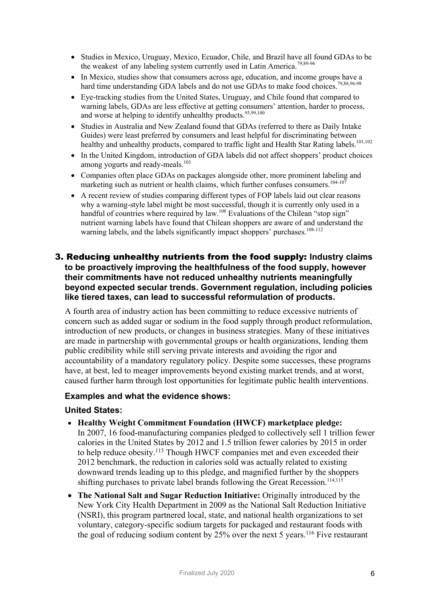- Studies in Mexico, Uruguay, Mexico, Ecuador, Chile, and Brazil have all found GDAs to be the weakest of any labeling system currently used in Latin America.<sup>79,89-96</sup>
- In Mexico, studies show that consumers across age, education, and income groups have a hard time understanding GDA labels and do not use GDAs to make food choices.<sup>79,88,96-98</sup>
- Eye-tracking studies from the United States, Uruguay, and Chile found that compared to warning labels, GDAs are less effective at getting consumers' attention, harder to process, and worse at helping to identify unhealthy products.<sup>95,99,100</sup>
- Studies in Australia and New Zealand found that GDAs (referred to there as Daily Intake Guides) were least preferred by consumers and least helpful for discriminating between healthy and unhealthy products, compared to traffic light and Health Star Rating labels.<sup>101,102</sup>
- In the United Kingdom, introduction of GDA labels did not affect shoppers' product choices among yogurts and ready-meals.<sup>103</sup>
- Companies often place GDAs on packages alongside other, more prominent labeling and marketing such as nutrient or health claims, which further confuses consumers.<sup>104-10</sup>
- A recent review of studies comparing different types of FOP labels laid out clear reasons why a warning-style label might be most successful, though it is currently only used in a handful of countries where required by law.<sup>108</sup> Evaluations of the Chilean "stop sign" nutrient warning labels have found that Chilean shoppers are aware of and understand the warning labels, and the labels significantly impact shoppers' purchases.<sup>108-112</sup>

## 3. Reducing unhealthy nutrients from the food supply: **Industry claims to be proactively improving the healthfulness of the food supply, however their commitments have not reduced unhealthy nutrients meaningfully beyond expected secular trends. Government regulation, including policies like tiered taxes, can lead to successful reformulation of products.**

A fourth area of industry action has been committing to reduce excessive nutrients of concern such as added sugar or sodium in the food supply through product reformulation, introduction of new products, or changes in business strategies. Many of these initiatives are made in partnership with governmental groups or health organizations, lending them public credibility while still serving private interests and avoiding the rigor and accountability of a mandatory regulatory policy. Despite some successes, these programs have, at best, led to meager improvements beyond existing market trends, and at worst, caused further harm through lost opportunities for legitimate public health interventions.

## **Examples and what the evidence shows:**

#### **United States:**

- **Healthy Weight Commitment Foundation (HWCF) marketplace pledge:** In 2007, 16 food-manufacturing companies pledged to collectively sell 1 trillion fewer calories in the United States by 2012 and 1.5 trillion fewer calories by 2015 in order to help reduce obesity.<sup>113</sup> Though HWCF companies met and even exceeded their 2012 benchmark, the reduction in calories sold was actually related to existing downward trends leading up to this pledge, and magnified further by the shoppers shifting purchases to private label brands following the Great Recession. 114,115
- **The National Salt and Sugar Reduction Initiative:** Originally introduced by the New York City Health Department in 2009 as the National Salt Reduction Initiative (NSRI), this program partnered local, state, and national health organizations to set voluntary, category-specific sodium targets for packaged and restaurant foods with the goal of reducing sodium content by  $25\%$  over the next 5 years.<sup>116</sup> Five restaurant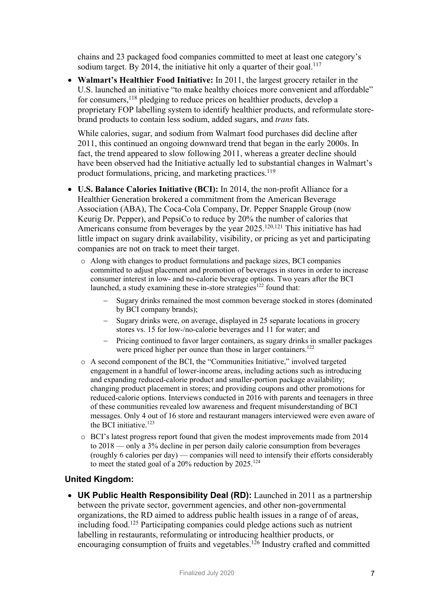chains and 23 packaged food companies committed to meet at least one category's sodium target. By 2014, the initiative hit only a quarter of their goal.<sup>117</sup>

• **Walmart's Healthier Food Initiative:** In 2011, the largest grocery retailer in the U.S. launched an initiative "to make healthy choices more convenient and affordable" for consumers,<sup>118</sup> pledging to reduce prices on healthier products, develop a proprietary FOP labelling system to identify healthier products, and reformulate storebrand products to contain less sodium, added sugars, and *trans* fats.

While calories, sugar, and sodium from Walmart food purchases did decline after 2011, this continued an ongoing downward trend that began in the early 2000s. In fact, the trend appeared to slow following 2011, whereas a greater decline should have been observed had the Initiative actually led to substantial changes in Walmart's product formulations, pricing, and marketing practices.<sup>119</sup>

- **U.S. Balance Calories Initiative (BCI):** In 2014, the non-profit Alliance for a Healthier Generation brokered a commitment from the American Beverage Association (ABA), The Coca-Cola Company, Dr. Pepper Snapple Group (now Keurig Dr. Pepper), and PepsiCo to reduce by 20% the number of calories that Americans consume from beverages by the year 2025.<sup>120,121</sup> This initiative has had little impact on sugary drink availability, visibility, or pricing as yet and participating companies are not on track to meet their target.
	- o Along with changes to product formulations and package sizes, BCI companies committed to adjust placement and promotion of beverages in stores in order to increase consumer interest in low- and no-calorie beverage options. Two years after the BCI launched, a study examining these in-store strategies<sup>122</sup> found that:
		- Sugary drinks remained the most common beverage stocked in stores (dominated by BCI company brands);
		- Sugary drinks were, on average, displayed in 25 separate locations in grocery stores vs. 15 for low-/no-calorie beverages and 11 for water; and
		- Pricing continued to favor larger containers, as sugary drinks in smaller packages were priced higher per ounce than those in larger containers.<sup>122</sup>
	- o A second component of the BCI, the "Communities Initiative," involved targeted engagement in a handful of lower-income areas, including actions such as introducing and expanding reduced-calorie product and smaller-portion package availability; changing product placement in stores; and providing coupons and other promotions for reduced-calorie options. Interviews conducted in 2016 with parents and teenagers in three of these communities revealed low awareness and frequent misunderstanding of BCI messages. Only 4 out of 16 store and restaurant managers interviewed were even aware of the BCI initiative. $123$
	- o BCI's latest progress report found that given the modest improvements made from 2014 to 2018 — only a 3% decline in per person daily calorie consumption from beverages (roughly 6 calories per day) — companies will need to intensify their efforts considerably to meet the stated goal of a 20% reduction by  $2025$ .<sup>124</sup>

## **United Kingdom:**

• **UK Public Health Responsibility Deal (RD):** Launched in 2011 as a partnership between the private sector, government agencies, and other non-governmental organizations, the RD aimed to address public health issues in a range of of areas, including food.125 Participating companies could pledge actions such as nutrient labelling in restaurants, reformulating or introducing healthier products, or encouraging consumption of fruits and vegetables.126 Industry crafted and committed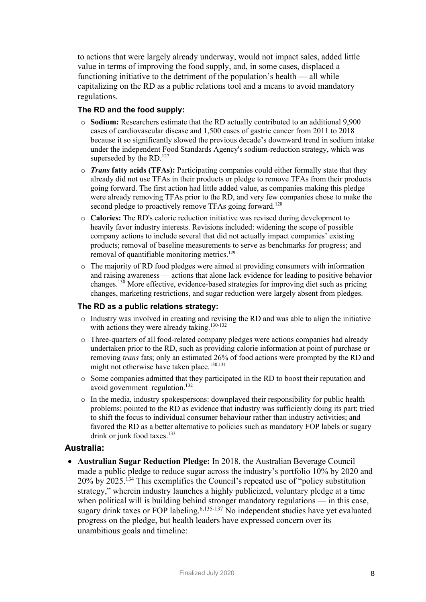to actions that were largely already underway, would not impact sales, added little value in terms of improving the food supply, and, in some cases, displaced a functioning initiative to the detriment of the population's health — all while capitalizing on the RD as a public relations tool and a means to avoid mandatory regulations.

#### **The RD and the food supply:**

- o **Sodium:** Researchers estimate that the RD actually contributed to an additional 9,900 cases of cardiovascular disease and 1,500 cases of gastric cancer from 2011 to 2018 because it so significantly slowed the previous decade's downward trend in sodium intake under the independent Food Standards Agency's sodium-reduction strategy, which was superseded by the RD.<sup>127</sup>
- o *Trans* **fatty acids (TFAs):** Participating companies could either formally state that they already did not use TFAs in their products or pledge to remove TFAs from their products going forward. The first action had little added value, as companies making this pledge were already removing TFAs prior to the RD, and very few companies chose to make the second pledge to proactively remove TFAs going forward.<sup>128</sup>
- o **Calories:** The RD's calorie reduction initiative was revised during development to heavily favor industry interests. Revisions included: widening the scope of possible company actions to include several that did not actually impact companies' existing products; removal of baseline measurements to serve as benchmarks for progress; and removal of quantifiable monitoring metrics.<sup>129</sup>
- o The majority of RD food pledges were aimed at providing consumers with information and raising awareness — actions that alone lack evidence for leading to positive behavior changes.<sup>130</sup> More effective, evidence-based strategies for improving diet such as pricing changes, marketing restrictions, and sugar reduction were largely absent from pledges.

#### **The RD as a public relations strategy:**

- $\circ$  Industry was involved in creating and revising the RD and was able to align the initiative with actions they were already taking.<sup>130-132</sup>
- o Three-quarters of all food-related company pledges were actions companies had already undertaken prior to the RD, such as providing calorie information at point of purchase or removing *trans* fats; only an estimated 26% of food actions were prompted by the RD and might not otherwise have taken place.<sup>130,131</sup>
- o Some companies admitted that they participated in the RD to boost their reputation and avoid government regulation.<sup>132</sup>
- $\circ$  In the media, industry spokespersons: downplayed their responsibility for public health problems; pointed to the RD as evidence that industry was sufficiently doing its part; tried to shift the focus to individual consumer behaviour rather than industry activities; and favored the RD as a better alternative to policies such as mandatory FOP labels or sugary drink or junk food taxes. $133$

## **Australia:**

• **Australian Sugar Reduction Pledge:** In 2018, the Australian Beverage Council made a public pledge to reduce sugar across the industry's portfolio 10% by 2020 and 20% by 2025. <sup>134</sup> This exemplifies the Council's repeated use of "policy substitution strategy," wherein industry launches a highly publicized, voluntary pledge at a time when political will is building behind stronger mandatory regulations — in this case, sugary drink taxes or FOP labeling.<sup>6,135-137</sup> No independent studies have yet evaluated progress on the pledge, but health leaders have expressed concern over its unambitious goals and timeline: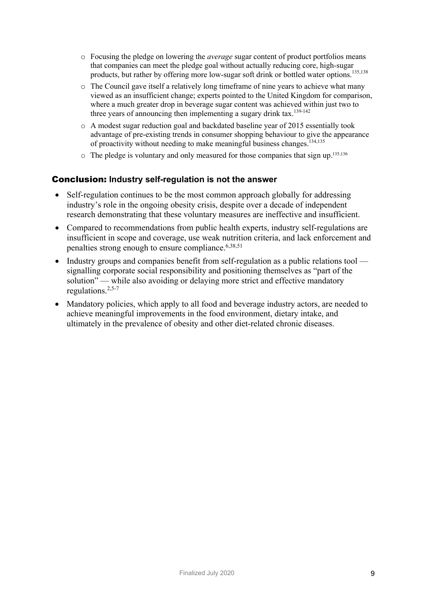- o Focusing the pledge on lowering the *average* sugar content of product portfolios means that companies can meet the pledge goal without actually reducing core, high-sugar products, but rather by offering more low-sugar soft drink or bottled water options.<sup>135,138</sup>
- o The Council gave itself a relatively long timeframe of nine years to achieve what many viewed as an insufficient change; experts pointed to the United Kingdom for comparison, where a much greater drop in beverage sugar content was achieved within just two to three years of announcing then implementing a sugary drink tax.<sup>139-142</sup>
- o A modest sugar reduction goal and backdated baseline year of 2015 essentially took advantage of pre-existing trends in consumer shopping behaviour to give the appearance of proactivity without needing to make meaningful business changes.<sup>134,135</sup>
- $\circ$  The pledge is voluntary and only measured for those companies that sign up.<sup>135,136</sup>

## Conclusion: **Industry self-regulation is not the answer**

- Self-regulation continues to be the most common approach globally for addressing industry's role in the ongoing obesity crisis, despite over a decade of independent research demonstrating that these voluntary measures are ineffective and insufficient.
- Compared to recommendations from public health experts, industry self-regulations are insufficient in scope and coverage, use weak nutrition criteria, and lack enforcement and penalties strong enough to ensure compliance.6,38,51
- Industry groups and companies benefit from self-regulation as a public relations tool signalling corporate social responsibility and positioning themselves as "part of the solution" — while also avoiding or delaying more strict and effective mandatory regulations.2,5-7
- Mandatory policies, which apply to all food and beverage industry actors, are needed to achieve meaningful improvements in the food environment, dietary intake, and ultimately in the prevalence of obesity and other diet-related chronic diseases.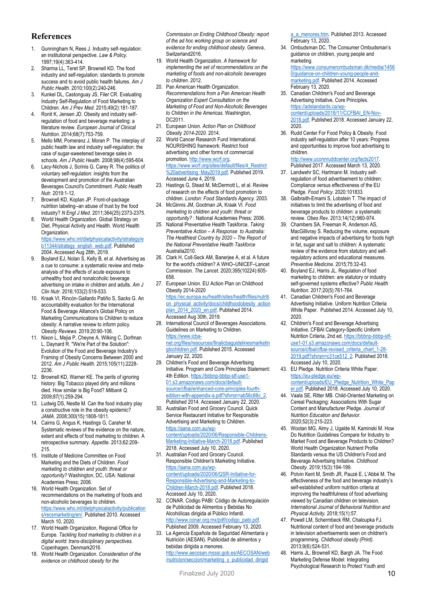#### **References**

- 1. Gunningham N, Rees J. Industry self-regulation: an institutional perspective. *Law & Policy.*  1997;19(4):363-414.
- 2. Sharma LL, Teret SP, Brownell KD. The food industry and self-regulation: standards to promote success and to avoid public health failures. *Am J Public Health.* 2010;100(2):240-246.
- 3. Kunkel DL, Castonguay JS, Filer CR. Evaluating Industry Self-Regulation of Food Marketing to Children. *Am J Prev Med.* 2015;49(2):181-187.
- Ronit K, Jensen JD. Obesity and industry selfregulation of food and beverage marketing: a literature review. *European Journal of Clinical Nutrition.* 2014;68(7):753-759.
- 5. Mello MM, Pomeranz J, Moran P. The interplay of public health law and industry self-regulation: the case of sugar-sweetened beverage sales in schools. *Am J Public Health.* 2008;98(4):595-604.
- 6. Lacy-Nichols J, Scrinis G, Carey R. The politics of voluntary self-regulation: insights from the development and promotion of the Australian Beverages Council's Commitment. *Public Health Nutr.* 2019:1-12.
- 7. Brownell KD, Koplan JP. Front-of-package nutrition labeling--an abuse of trust by the food industry? *N Engl J Med.* 2011;364(25):2373-2375.
- 8. World Health Organization. Global Strategy on Diet, Physical Activity and Health. World Health **Organization** https://www.who.int/dietphysicalactivity/strategy/e b11344/strategy\_english\_web.pdf Published 2004. Accessed Aug 28th, 2019.
- 9. Boyland EJ, Nolan S, Kelly B, et al. Advertising as a cue to consume: a systematic review and metaanalysis of the effects of acute exposure to unhealthy food and nonalcoholic beverage advertising on intake in children and adults. *Am J Clin Nutr.* 2016;103(2):519-533.
- 10. Kraak VI, Rincón-Gallardo Patiño S, Sacks G. An accountability evaluation for the International Food & Beverage Alliance's Global Policy on Marketing Communications to Children to reduce obesity: A narrative review to inform policy. *Obesity Reviews.* 2019;20:90-106.
- 11. Nixon L, Mejia P, Cheyne A, Wilking C, Dorfman L, Daynard R. "We're Part of the Solution": Evolution of the Food and Beverage Industry's Framing of Obesity Concerns Between 2000 and 2012. *Am J Public Health.* 2015;105(11):2228- 2236.
- 12. Brownell KD, Warner KE. The perils of ignoring history: Big Tobacco played dirty and millions died. How similar is Big Food? *Milbank Q.* 2009;87(1):259-294.
- 13. Ludwig DS, Nestle M. Can the food industry play a constructive role in the obesity epidemic? *JAMA.* 2008;300(15):1808-1811.
- 14. Cairns G, Angus K, Hastings G, Caraher M. Systematic reviews of the evidence on the nature, extent and effects of food marketing to children. A retrospective summary. *Appetite.* 2013;62:209- 215.
- 15. Institute of Medicine Committee on Food Marketing and the Diets of Children. *Food marketing to children and youth: threat or opportunity?* Washington, DC, USA: National Academies Press; 2006.
- 16. World Health Organization. Set of recommendations on the marketing of foods and non-alcoholic beverages to children. https://www.who.int/dietphysicalactivity/publication s/recsmarketing/en/. Published 2010. Accessed March 10, 2020.
- 17. World Health Organization, Regional Office for Europe. *Tackling food marketing to children in a digital world: trans-disciplinary perspectives.*  Copenhagen, Denmark2016.
- 18. World Health Organization. *Consideration of the evidence on childhood obesity for the*

*Commission on Ending Childhood Obesity: report of the ad hoc working group on science and evidence for ending childhood obesity.* Geneva, Switzerland2016.

- 19. World Health Organization. *A framework for implementing the set of recommendations on the marketing of foods and non-alcoholic beverages to children.* 2012.
- 20. Pan American Health Organization. *Recommendations from a Pan American Health Organization Expert Consultation on the Marketing of Food and Non-Alcoholic Beverages to Children in the Americas.* Washington, DC2011.
- 21. European Union. *Action Plan on Childhood Obesity 2014-2020.* 2014.
- 22. World Cancer Research Fund International. NOURISHING framework: Restrict food advertising and other forms of commercial promotion. http://www.wcrf.org. https://www.wcrf.org/sites/default/files/4\_Restrict %20advertising\_May2019.pdf. Published 2019. Accessed June 4, 2019.
- 23. Hastings G, Stead M, McDermott L, et al. Review of research on the effects of food promotion to children. *London: Food Standards Agency.* 2003.
- 24. McGinnis JM, Gootman JA, Kraak VI. *Food marketing to children and youth: threat or opportunity?* : National Academies Press; 2006.
- 25. National Preventative Health Taskforce. *Taking Preventative Action – A Response to Australia: The Healthiest Country by 2020 – The Report of the National Preventative Health Taskforce*  Australia2010.
- 26. Clark H, Coll-Seck AM, Banerjee A, et al. A future for the world's children? A WHO–UNICEF–Lancet Commission. *The Lancet.* 2020;395(10224):605- 658.
- 27. European Union. EU Action Plan on Childhood Obesity 2014-2020
- https://ec.europa.eu/health/sites/health/files/nutriti on\_physical\_activity/docs/childhoodobesity\_action plan\_2014\_2020\_en.pdf. Published 2014. Accessed Aug 30th, 2019.
- 28. International Council of Beverages Associations. Guidelines on Marketing to Children. https://www.icbanet.org/files/resources/finalicbaguidelinesmarketin gtochildren.pdf. Published 2015. Accessed January 22, 2020.
- 29. Children's Food and Beverage Advertising Initiative. Program and Core Principles Statement: 4th Edition. https://bbbnp-bbbp-stf-use1- 01.s3.amazonaws.com/docs/defaultsource/cfbai/enhanced-core-principles-fourthedition-with-appendix-a.pdf?sfvrsn=ab56c88c\_2. Published 2014. Accessed January 22, 2020.
- 30. Australian Food and Grocery Council. Quick Service Restaurant Initiative for Responsible Advertising and Marketing to Children. https://aana.com.au/wpcontent/uploads/2020/06/Responsible-Childrens-Marketing-Initiative-March-2018.pdf. Published 2018. Accessed July 10, 2020.
- 31. Australian Food and Grocery Council. Responsible Children's Marketing Initiative. https://aana.com.au/wpcontent/uploads/2020/06/QSR-Initiative-for-Responsible-Advertising-and-Marketing-to-Children-March-2018.pdf. Published 2018. Accessed July 10, 2020.
- 32. CONAR. Código PABI: Código de Autoregulación de Publicidad de Alimentos y Bebidas No Alcohólicas dirigida al Público Infantil. http://www.conar.org.mx/pdf/codigo\_pabi.pdf Published 2009. Accessed February 13, 2020.
- 33. La Agencia Española de Seguridad Alimentaria y Nutrición (AESAN). Publicidad de alimentos y bebidas dirigida a menores. http://www.aecosan.msssi.gob.es/AECOSAN/web /nutricion/seccion/marketing\_y\_publicidad\_dirigid

a\_a\_menores.htm. Published 2013. Accessed February 13, 2020.

- 34. Ombudsman DC. The Consumer Ombudsman's guidance on children, young people and marketing. https://www.consumerombudsman.dk/media/1456 0/guidance-on-children-young-people-andmarketing.pdf. Published 2014. Accessed
- February 13, 2020. 35. Canadian Children's Food and Beverage Advertising Initiative. Core Principles. https://adstandards.ca/wpcontent/uploads/2018/11/CCFBAI\_EN-Nov-2018.pdf. Published 2018. Accessed January 22, 2020.
- 36. Rudd Center For Food Policy & Obesity. Food industry self-regulation after 10 years: Progress and opportunities to improve food advertising to children.
	- http://www.uconnruddcenter.org/facts2017. Published 2017. Accessed March 13, 2020.
- 37. Landwehr SC, Hartmann M. Industry selfregulation of food advertisement to children: Compliance versus effectiveness of the EU Pledge. *Food Policy.* 2020:101833.
- Galbraith-Emami S, Lobstein T. The impact of initiatives to limit the advertising of food and beverage products to children: a systematic review. *Obes Rev.* 2013;14(12):960-974.
- 39. Chambers SA, Freeman R, Anderson AS, MacGillivray S. Reducing the volume, exposure and negative impacts of advertising for foods high in fat, sugar and salt to children: A systematic review of the evidence from statutory and selfregulatory actions and educational measures. *Preventive Medicine.* 2015;75:32-43.
- 40. Boyland EJ, Harris JL. Regulation of food marketing to children: are statutory or industry self-governed systems effective? *Public Health Nutrition.* 2017;20(5):761-764.
- 41. Canadian Children's Food and Beverage Advertising Initiative. Uniform Nutrition Criteria White Paper. Published 2014. Accessed July 10, 2020.
- 42. Children's Food and Beverage Advertising Initiative. CFBAI Category-Specific Uniform Nutrition Criteria, 2nd ed. https://bbbnp-bbbp-stfuse1-01.s3.amazonaws.com/docs/defaultsource/cfbai/cfbai-revised\_criteria\_chart\_1-28- 2019.pdf?sfvrsn=c31ce512\_2. Published 2018. Accessed July 10, 2020.
- 43. EU Pledge. Nutrition Criteria White Paper. https://eu-pledge.eu/wpcontent/uploads/EU\_Pledge\_Nutrition\_White\_Pap
- er.pdf. Published 2018. Accessed July 10, 2020. 44. Vaala SE, Ritter MB. Child-Oriented Marketing on Cereal Packaging: Associations With Sugar Content and Manufacturer Pledge. *Journal of Nutrition Education and Behavior.*  2020;52(3):215-223.
- 45. Wootan MG, Almy J, Ugalde M, Kaminski M. How Do Nutrition Guidelines Compare for Industry to Market Food and Beverage Products to Children? World Health Organization Nutrient Profile Standards versus the US Children's Food and Beverage Advertising Initiative. *Childhood Obesity.* 2019;15(3):194-199.
- 46. Potvin Kent M, Smith JR, Pauzé E, L'Abbé M. The effectiveness of the food and beverage industry's self-established uniform nutrition criteria at improving the healthfulness of food advertising viewed by Canadian children on television. *International Journal of Behavioral Nutrition and Physical Activity.* 2018;15(1):57.
- 47. Powell LM, Schermbeck RM, Chaloupka FJ. Nutritional content of food and beverage products in television advertisements seen on children's programming. *Childhood obesity (Print).*  2013;9(6):524-531.
- 48. Harris JL, Brownell KD, Bargh JA. The Food Marketing Defense Model: Integrating Psychological Research to Protect Youth and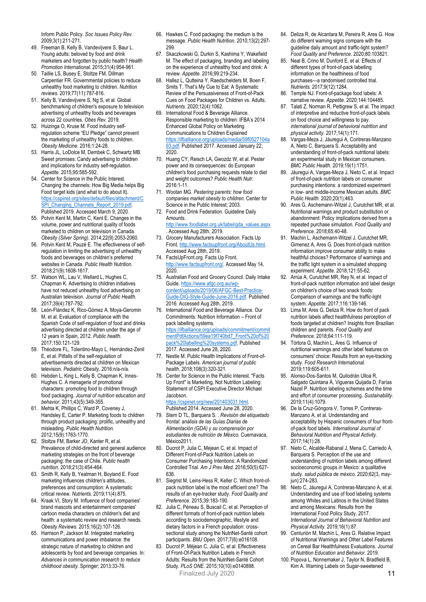Inform Public Policy. *Soc Issues Policy Rev.*  2009;3(1):211-271.

- 49. Freeman B, Kelly B, Vandevijvere S, Baur L. Young adults: beloved by food and drink marketers and forgotten by public health? *Health Promotion International.* 2015;31(4):954-961.
- 50. Taillie LS, Busey E, Stoltze FM, Dillman Carpentier FR. Governmental policies to reduce unhealthy food marketing to children. *Nutrition reviews.* 2019;77(11):787-816.
- 51. Kelly B, Vandevijvere S, Ng S, et al. Global benchmarking of children's exposure to television advertising of unhealthy foods and beverages across 22 countries. *Obes Rev.* 2019.
- 52. Huizinga O, Kruse M. Food industry selfregulation scheme "EU Pledge" cannot prevent the marketing of unhealthy foods to children. *Obesity Medicine.* 2016;1:24-28.
- 53. Harris JL, LoDolce M, Dembek C, Schwartz MB. Sweet promises: Candy advertising to children and implications for industry self-regulation. *Appetite.* 2015;95:585-592.
- 54. Center for Science in the Public Interest. Changing the channels: How Big Media helps Big Food target kids (and what to do about It). https://cspinet.org/sites/default/files/attachment/C SPI\_Changing\_Channels\_Report\_2019.pdf. Published 2019. Accessed March 9, 2020.
- 55. Potvin Kent M, Martin C, Kent E. Changes in the volume, power and nutritional quality of foods marketed to children on television in Canada. *Obesity (Silver Spring).* 2014;22(9):2053-2060.
- 56. Potvin Kent M, Pauzé E. The effectiveness of selfregulation in limiting the advertising of unhealthy foods and beverages on children's preferred websites in Canada. *Public Health Nutrition.*  2018;21(9):1608-1617.
- 57. Watson WL, Lau V, Wellard L, Hughes C, Chapman K. Advertising to children initiatives have not reduced unhealthy food advertising on Australian television. *Journal of Public Health.*  2017;39(4):787-792.
- 58. León-Flández K, Rico-Gómez A, Moya-Geromin M, et al. Evaluation of compliance with the Spanish Code of self-regulation of food and drinks advertising directed at children under the age of 12 years in Spain, 2012. *Public health.*  2017;150:121-129.
- 59. Théodore FL, Tolentino-Mayo L, Hernández-Zenil E, et al. Pitfalls of the self-regulation of advertisements directed at children on Mexican television. *Pediatric Obesity.* 2016:n/a-n/a.
- 60. Hebden L, King L, Kelly B, Chapman K, Innes-Hughes C. A menagerie of promotional characters: promoting food to children through food packaging. *Journal of nutrition education and behavior.* 2011;43(5):349-355.
- 61. Mehta K, Phillips C, Ward P, Coveney J, Handsley E, Carter P. Marketing foods to children through product packaging: prolific, unhealthy and misleading. *Public Health Nutrition.*  2012;15(9):1763-1770.
- 62. Stoltze FM, Barker JO, Kanter R, et al. Prevalence of child-directed and general audience marketing strategies on the front of beverage packaging: the case of Chile. *Public health nutrition.* 2018;21(3):454-464.
- 63. Smith R, Kelly B, Yeatman H, Boyland E. Food marketing influences children's attitudes, preferences and consumption: A systematic critical review. *Nutrients.* 2019;11(4):875.
- 64. Kraak VI, Story M. Influence of food companies' brand mascots and entertainment companies' cartoon media characters on children's diet and health: a systematic review and research needs. *Obesity Reviews.* 2015;16(2):107-126.
- 65. Harrison P, Jackson M. Integrated marketing communications and power imbalance: the strategic nature of marketing to children and adolescents by food and beverage companies. In: *Advances in communication research to reduce childhood obesity.* Springer; 2013:33-76.
- 66. Hawkes C. Food packaging: the medium is the message. *Public Health Nutrition.* 2010;13(2):297- 299.
- 67. Skaczkowski G, Durkin S, Kashima Y, Wakefield M. The effect of packaging, branding and labeling on the experience of unhealthy food and drink: A review. *Appetite.* 2016;99:219-234.
- 68. Hallez L, Qutteina Y, Raedschelders M, Boen F, Smits T. That's My Cue to Eat: A Systematic Review of the Persuasiveness of Front-of-Pack Cues on Food Packages for Children vs. Adults. *Nutrients.* 2020;12(4):1062.
- 69. International Food & Beverage Alliance. Responsible marketing to children: IFBA's 2014 Enhanced Global Policy on Marketing Communications to Children Explained https://ifballiance.org/uploads/media/59f0527104a 93.pdf. Published 2017. Accessed January 22, 2020.
- 70. Huang CY, Reisch LA, Gwozdz W, et al. Pester power and its consequences: do European children's food purchasing requests relate to diet and weight outcomes? *Public Health Nutr.*  2016:1-11.
- 71. Wootan MG. *Pestering parents: how food companies market obesity to children.* Center for Science in the Public Interest; 2003.
- 72. Food and Drink Federation. Guideline Daily Amounts. http://www.foodlabel.org.uk/label/gda\_values.aspx
- . Accessed Aug 28th, 2019. 73. Grocery Manufacturers Association. Facts Up
- Front. http://www.factsupfront.org/AboutUs.html. Accessed Aug 28th, 2019. 74. FactsUpFront.org. Facts Up Front.
- http://www.factsupfront.org/. Accessed May 14, 2020.
- 75. Australian Food and Grocery Council. Daily Intake Guide. https://www.afgc.org.au/wpcontent/uploads/2019/06/AFGC-Best-Practice-Guide-DIG-Style-Guide-June-2016.pdf. Published 2016. Accessed Aug 28th, 2019.
- 76. International Food and Beverage Alliance. Our Commitments: Nutrition Information – Front of pack labelling systems. https://ifballiance.org/uploads/commitment/commit mentPdfActions/59ea19f740bd7\_Front%20of%20 pack%20labelling%20systems.pdf. Published 2017. Accessed June 28, 2020.
- 77. Nestle M. Public Health Implications of Front-of-Package Labels. *American journal of public health.* 2018;108(3):320-321.
- 78. Center for Science in the Public Interest. "Facts Up Front" is Marketing, Not Nutrition Labeling: Statement of CSPI Executive Director Michael Jacobson.

https://cspinet.org/new/201403031.html. Published 2014. Accessed June 28, 2020.

- 79. Stern D TL, Barquera S. . *Revisión del etiquetado frontal: análisis de las Guías Diarias de Alimentación (GDA) y su comprensión por estudiantes de nutrición de México.* Cuernavaca, México2011.
- 80. Ducrot P, Julia C, Mejean C, et al. Impact of Different Front-of-Pack Nutrition Labels on Consumer Purchasing Intentions: A Randomized Controlled Trial. *Am J Prev Med.* 2016;50(5):627- 636.
- 81. Siegrist M, Leins-Hess R, Keller C. Which front-ofpack nutrition label is the most efficient one? The results of an eye-tracker study. *Food Quality and Preference.* 2015;39:183-190.
- 82. Julia C, Péneau S, Buscail C, et al. Perception of different formats of front-of-pack nutrition labels according to sociodemographic, lifestyle and dietary factors in a French population: crosssectional study among the NutriNet-Santé cohort participants. *BMJ Open.* 2017;7(6):e016108.
- Finalized July 2020 **11** 83. Ducrot P, Méjean C, Julia C, et al. Effectiveness of Front-Of-Pack Nutrition Labels in French Adults: Results from the NutriNet-Santé Cohort Study. *PLoS ONE.* 2015;10(10):e0140898.
- 84. Deliza R, de Alcantara M, Pereira R, Ares G. How do different warning signs compare with the guideline daily amount and traffic-light system? *Food Quality and Preference.* 2020;80:103821.
- 85. Neal B, Crino M, Dunford E, et al. Effects of different types of front-of-pack labelling information on the healthiness of food purchases—a randomised controlled trial. *Nutrients.* 2017;9(12):1284.
- 86. Temple NJ. Front-of-package food labels: A narrative review. *Appetite.* 2020;144:104485.
- 87. Talati Z, Norman R, Pettigrew S, et al. The impact of interpretive and reductive front-of-pack labels on food choice and willingness to pay. *international journal of behavioral nutrition and physical activity.* 2017;14(1):171.
- 88. Vargas-Meza J, Jáuregui A, Contreras-Manzano A, Nieto C, Barquera S. Acceptability and understanding of front-of-pack nutritional labels: an experimental study in Mexican consumers. *BMC Public Health.* 2019;19(1):1751.
- 89. Jáuregui A, Vargas-Meza J, Nieto C, et al. Impact of front-of-pack nutrition labels on consumer purchasing intentions: a randomized experiment in low- and middle-income Mexican adults. *BMC Public Health.* 2020;20(1):463.
- Ares G, Aschemann-Witzel J, Curutchet MR, et al. Nutritional warnings and product substitution or abandonment: Policy implications derived from a repeated purchase simulation. *Food Quality and Preference.* 2018;65:40-48.
- 91. Machin L, Aschemann-Witzel J, Curutchet MR, Gimenez A, Ares G. Does front-of-pack nutrition information improve consumer ability to make healthful choices? Performance of warnings and the traffic light system in a simulated shopping experiment. *Appetite.* 2018;121:55-62.
- 92. Arrúa A, Curutchet MR, Rey N, et al. Impact of front-of-pack nutrition information and label design on children's choice of two snack foods: Comparison of warnings and the traffic-light system. *Appetite.* 2017;116:139-146.
- 93. Lima M, Ares G, Deliza R. How do front of pack nutrition labels affect healthfulness perception of foods targeted at children? Insights from Brazilian children and parents. *Food Quality and Preference.* 2018;64:111-119.
- 94. Tórtora G, Machín L, Ares G. Influence of nutritional warnings and other label features on consumers' choice: Results from an eye-tracking study. *Food Research International.*  2019;119:605-611.
- 95. Alonso-Dos-Santos M, Quilodrán Ulloa R, Salgado Quintana Á, Vigueras Quijada D, Farías Nazel P. Nutrition labeling schemes and the time and effort of consumer processing. *Sustainability.*  2019;11(4):1079.
- 96. De la Cruz-Góngora V, Torres P, Contreras-Manzano A, et al. Understanding and acceptability by Hispanic consumers of four frontof-pack food labels. *International Journal of Behavioral Nutrition and Physical Activity.*  2017;14(1):28.
- 97. Nieto C, Alcalde-Rabanal J, Mena C, Carriedo Á, Barquera S. Perception of the use and understanding of nutrition labels among different socioeconomic groups in Mexico: a qualitative study. *salud pública de méxico.* 2020;62(3, mayjun):274-283.
- 98. Nieto C, Jáuregui A, Contreras-Manzano A, et al. Understanding and use of food labeling systems among Whites and Latinos in the United States and among Mexicans: Results from the International Food Policy Study, 2017. *International Journal of Behavioral Nutrition and Physical Activity.* 2019;16(1):87.
- 99. Centurión M, Machín L, Ares G. Relative Impact of Nutritional Warnings and Other Label Features on Cereal Bar Healthfulness Evaluations. *Journal of Nutrition Education and Behavior.* 2019.
- 100. Popova L, Nonnemaker J, Taylor N, Bradfield B, Kim A. Warning Labels on Sugar-sweetened